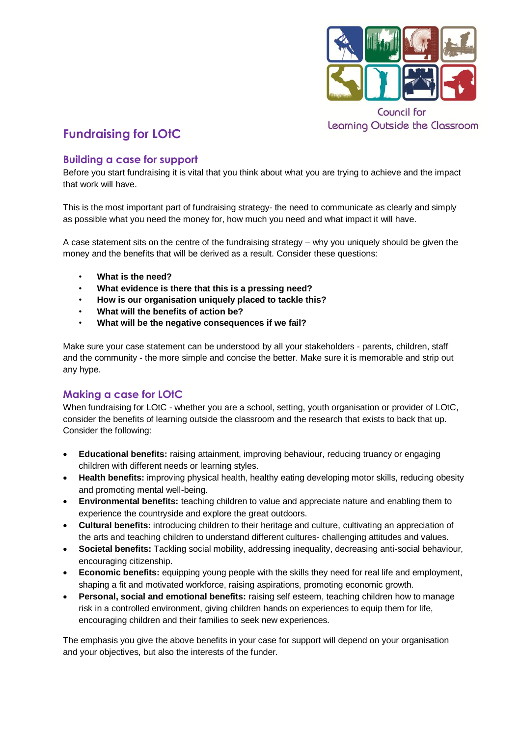

Council for Learning Outside the Classroom

# **Fundraising for LOtC**

# **Building a case for support**

Before you start fundraising it is vital that you think about what you are trying to achieve and the impact that work will have.

This is the most important part of fundraising strategy- the need to communicate as clearly and simply as possible what you need the money for, how much you need and what impact it will have.

A case statement sits on the centre of the fundraising strategy – why you uniquely should be given the money and the benefits that will be derived as a result. Consider these questions:

- **What is the need?**
- **What evidence is there that this is a pressing need?**
- **How is our organisation uniquely placed to tackle this?**
- **What will the benefits of action be?**
- **What will be the negative consequences if we fail?**

Make sure your case statement can be understood by all your stakeholders - parents, children, staff and the community - the more simple and concise the better. Make sure it is memorable and strip out any hype.

# **Making a case for LOtC**

When fundraising for LOtC - whether you are a school, setting, youth organisation or provider of LOtC, consider the benefits of learning outside the classroom and the research that exists to back that up. Consider the following:

- **Educational benefits:** raising attainment, improving behaviour, reducing truancy or engaging children with different needs or learning styles.
- **Health benefits:** improving physical health, healthy eating developing motor skills, reducing obesity and promoting mental well-being.
- **Environmental benefits:** teaching children to value and appreciate nature and enabling them to experience the countryside and explore the great outdoors.
- **Cultural benefits:** introducing children to their heritage and culture, cultivating an appreciation of the arts and teaching children to understand different cultures- challenging attitudes and values.
- **Societal benefits:** Tackling social mobility, addressing inequality, decreasing anti-social behaviour, encouraging citizenship.
- **Economic benefits:** equipping young people with the skills they need for real life and employment, shaping a fit and motivated workforce, raising aspirations, promoting economic growth.
- **Personal, social and emotional benefits:** raising self esteem, teaching children how to manage risk in a controlled environment, giving children hands on experiences to equip them for life, encouraging children and their families to seek new experiences.

The emphasis you give the above benefits in your case for support will depend on your organisation and your objectives, but also the interests of the funder.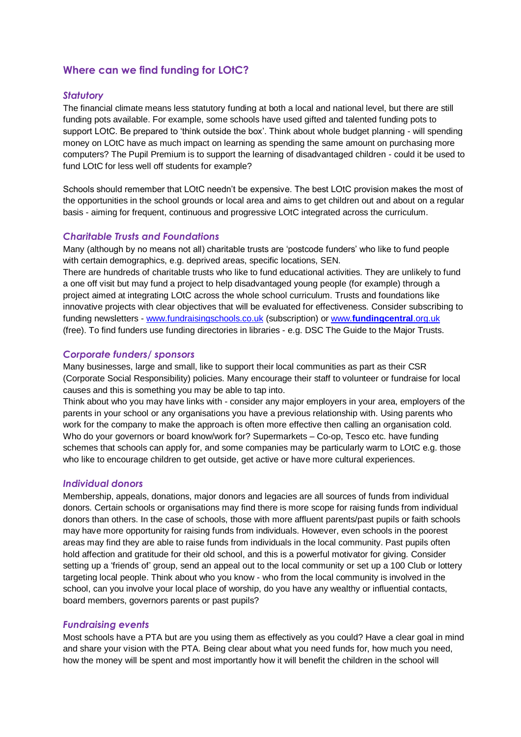# **Where can we find funding for LOtC?**

#### *Statutory*

The financial climate means less statutory funding at both a local and national level, but there are still funding pots available. For example, some schools have used gifted and talented funding pots to support LOtC. Be prepared to 'think outside the box'. Think about whole budget planning - will spending money on LOtC have as much impact on learning as spending the same amount on purchasing more computers? The Pupil Premium is to support the learning of disadvantaged children - could it be used to fund LOtC for less well off students for example?

Schools should remember that LOtC needn't be expensive. The best LOtC provision makes the most of the opportunities in the school grounds or local area and aims to get children out and about on a regular basis - aiming for frequent, continuous and progressive LOtC integrated across the curriculum.

#### *Charitable Trusts and Foundations*

Many (although by no means not all) charitable trusts are 'postcode funders' who like to fund people with certain demographics, e.g. deprived areas, specific locations, SEN.

There are hundreds of charitable trusts who like to fund educational activities. They are unlikely to fund a one off visit but may fund a project to help disadvantaged young people (for example) through a project aimed at integrating LOtC across the whole school curriculum. Trusts and foundations like innovative projects with clear objectives that will be evaluated for effectiveness. Consider subscribing to funding newsletters - [www.fundraisingschools.co.uk](http://www.fundraisingschools.co.uk/) (subscription) or [www.](http://www.fundingcentral.org.uk/)**[fundingcentral](http://www.fundingcentral.org.uk/)**[.org.uk](http://www.fundingcentral.org.uk/) (free). To find funders use funding directories in libraries - e.g. DSC The Guide to the Major Trusts.

#### *Corporate funders/ sponsors*

Many businesses, large and small, like to support their local communities as part as their CSR (Corporate Social Responsibility) policies. Many encourage their staff to volunteer or fundraise for local causes and this is something you may be able to tap into.

Think about who you may have links with - consider any major employers in your area, employers of the parents in your school or any organisations you have a previous relationship with. Using parents who work for the company to make the approach is often more effective then calling an organisation cold. Who do your governors or board know/work for? Supermarkets – Co-op, Tesco etc. have funding schemes that schools can apply for, and some companies may be particularly warm to LOtC e.g. those who like to encourage children to get outside, get active or have more cultural experiences.

#### *Individual donors*

Membership, appeals, donations, major donors and legacies are all sources of funds from individual donors. Certain schools or organisations may find there is more scope for raising funds from individual donors than others. In the case of schools, those with more affluent parents/past pupils or faith schools may have more opportunity for raising funds from individuals. However, even schools in the poorest areas may find they are able to raise funds from individuals in the local community. Past pupils often hold affection and gratitude for their old school, and this is a powerful motivator for giving. Consider setting up a 'friends of' group, send an appeal out to the local community or set up a 100 Club or lottery targeting local people. Think about who you know - who from the local community is involved in the school, can you involve your local place of worship, do you have any wealthy or influential contacts, board members, governors parents or past pupils?

#### *Fundraising events*

Most schools have a PTA but are you using them as effectively as you could? Have a clear goal in mind and share your vision with the PTA. Being clear about what you need funds for, how much you need, how the money will be spent and most importantly how it will benefit the children in the school will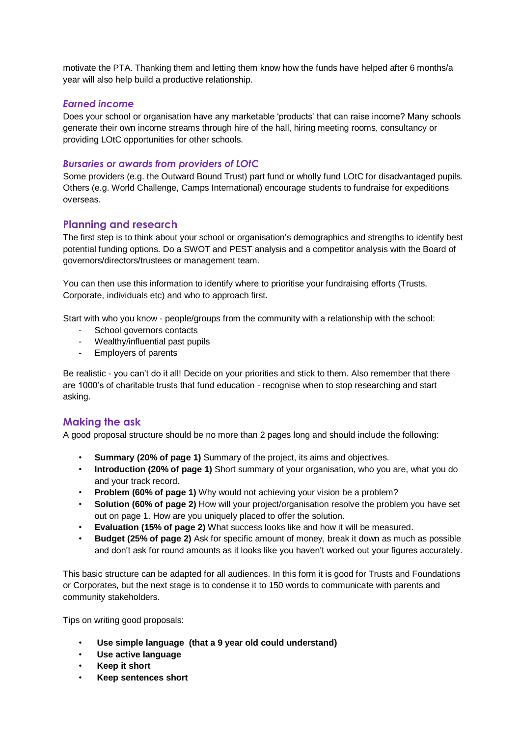motivate the PTA. Thanking them and letting them know how the funds have helped after 6 months/a year will also help build a productive relationship.

### *Earned income*

Does your school or organisation have any marketable 'products' that can raise income? Many schools generate their own income streams through hire of the hall, hiring meeting rooms, consultancy or providing LOtC opportunities for other schools.

### *Bursaries or awards from providers of LOtC*

Some providers (e.g. the Outward Bound Trust) part fund or wholly fund LOtC for disadvantaged pupils. Others (e.g. World Challenge, Camps International) encourage students to fundraise for expeditions overseas.

## **Planning and research**

The first step is to think about your school or organisation's demographics and strengths to identify best potential funding options. Do a SWOT and PEST analysis and a competitor analysis with the Board of governors/directors/trustees or management team.

You can then use this information to identify where to prioritise your fundraising efforts (Trusts, Corporate, individuals etc) and who to approach first.

Start with who you know - people/groups from the community with a relationship with the school:

- School governors contacts
- Wealthy/influential past pupils
- Employers of parents

Be realistic - you can't do it all! Decide on your priorities and stick to them. Also remember that there are 1000's of charitable trusts that fund education - recognise when to stop researching and start asking.

## **Making the ask**

A good proposal structure should be no more than 2 pages long and should include the following:

- **Summary (20% of page 1)** Summary of the project, its aims and objectives.
- **Introduction (20% of page 1)** Short summary of your organisation, who you are, what you do and your track record.
- **Problem (60% of page 1)** Why would not achieving your vision be a problem?
- **Solution (60% of page 2)** How will your project/organisation resolve the problem you have set out on page 1. How are you uniquely placed to offer the solution.
- **Evaluation (15% of page 2)** What success looks like and how it will be measured.
- **Budget (25% of page 2)** Ask for specific amount of money, break it down as much as possible and don't ask for round amounts as it looks like you haven't worked out your figures accurately.

This basic structure can be adapted for all audiences. In this form it is good for Trusts and Foundations or Corporates, but the next stage is to condense it to 150 words to communicate with parents and community stakeholders.

Tips on writing good proposals:

- **Use simple language (that a 9 year old could understand)**
- **Use active language**
- **Keep it short**
- **Keep sentences short**